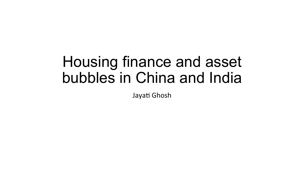## Housing finance and asset bubbles in China and India

Jayati Ghosh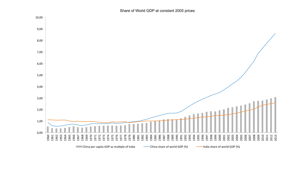Share of World GDP at constant 2005 prices

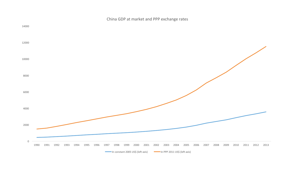

China GDP at market and PPP exchange rates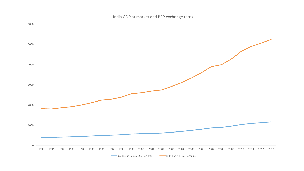India GDP at market and PPP exchange rates

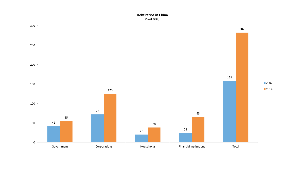## **Debt ratios in China (% of GDP)**

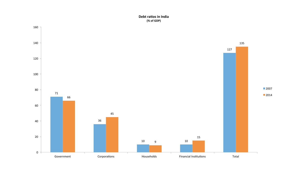## **Debt ratios in India (% of GDP)**

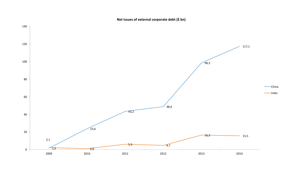**Net issues of external corporate debt (\$ bn)** 

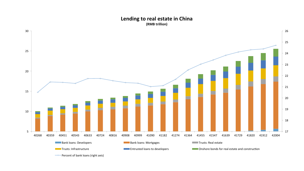## Lending to real estate in China **(RMB trillion)**



**Percent of bank loans (right axis)**